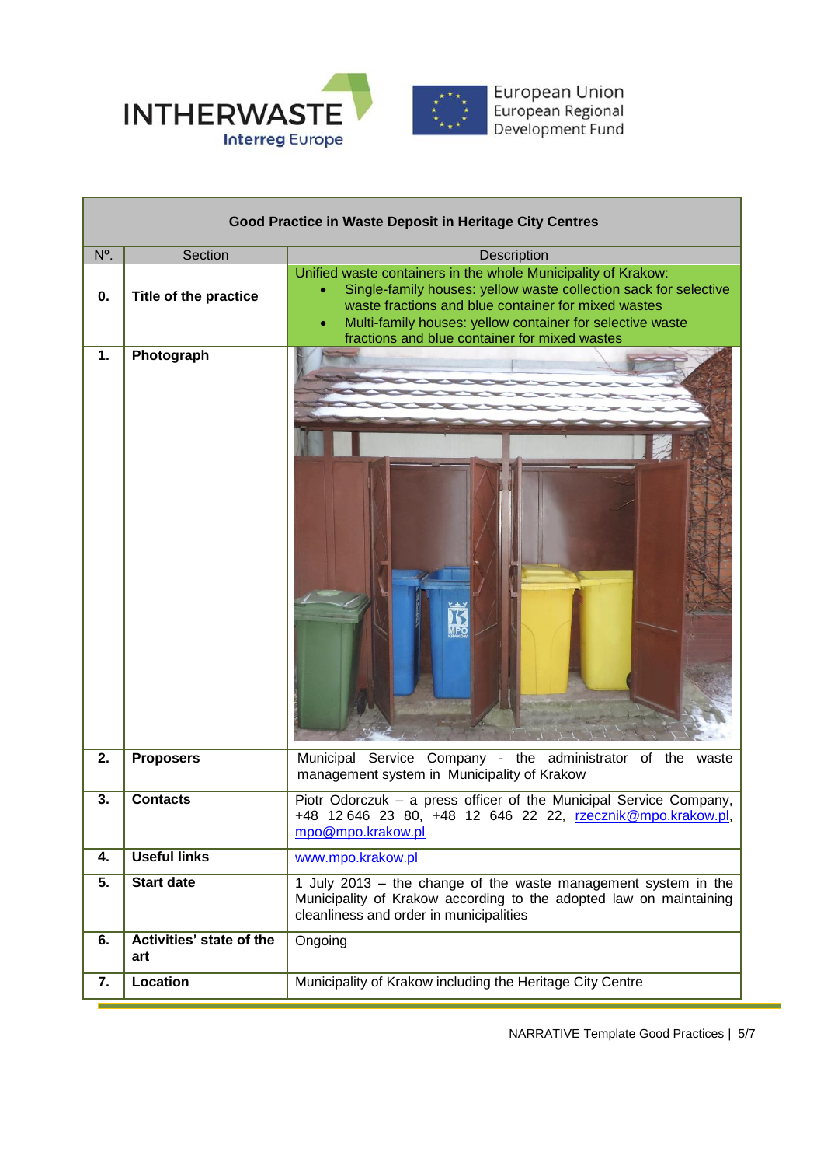

| Good Practice in Waste Deposit in Heritage City Centres |                                 |                                                                                                                                                                                                                                                                                                        |  |  |
|---------------------------------------------------------|---------------------------------|--------------------------------------------------------------------------------------------------------------------------------------------------------------------------------------------------------------------------------------------------------------------------------------------------------|--|--|
| N°.                                                     | Section                         | Description                                                                                                                                                                                                                                                                                            |  |  |
| 0.                                                      | Title of the practice           | Unified waste containers in the whole Municipality of Krakow:<br>Single-family houses: yellow waste collection sack for selective<br>waste fractions and blue container for mixed wastes<br>Multi-family houses: yellow container for selective waste<br>fractions and blue container for mixed wastes |  |  |
| 1.                                                      | Photograph                      |                                                                                                                                                                                                                                                                                                        |  |  |
| 2.                                                      | <b>Proposers</b>                | Municipal Service Company - the administrator of the waste<br>management system in Municipality of Krakow                                                                                                                                                                                              |  |  |
| 3.                                                      | <b>Contacts</b>                 | Piotr Odorczuk - a press officer of the Municipal Service Company,<br>+48 12 646 23 80, +48 12 646 22 22, rzecznik@mpo.krakow.pl,<br>mpo@mpo.krakow.pl                                                                                                                                                 |  |  |
| 4.                                                      | <b>Useful links</b>             | www.mpo.krakow.pl                                                                                                                                                                                                                                                                                      |  |  |
| 5.                                                      | <b>Start date</b>               | 1 July 2013 – the change of the waste management system in the<br>Municipality of Krakow according to the adopted law on maintaining<br>cleanliness and order in municipalities                                                                                                                        |  |  |
| 6.                                                      | Activities' state of the<br>art | Ongoing                                                                                                                                                                                                                                                                                                |  |  |
| 7.                                                      | Location                        | Municipality of Krakow including the Heritage City Centre                                                                                                                                                                                                                                              |  |  |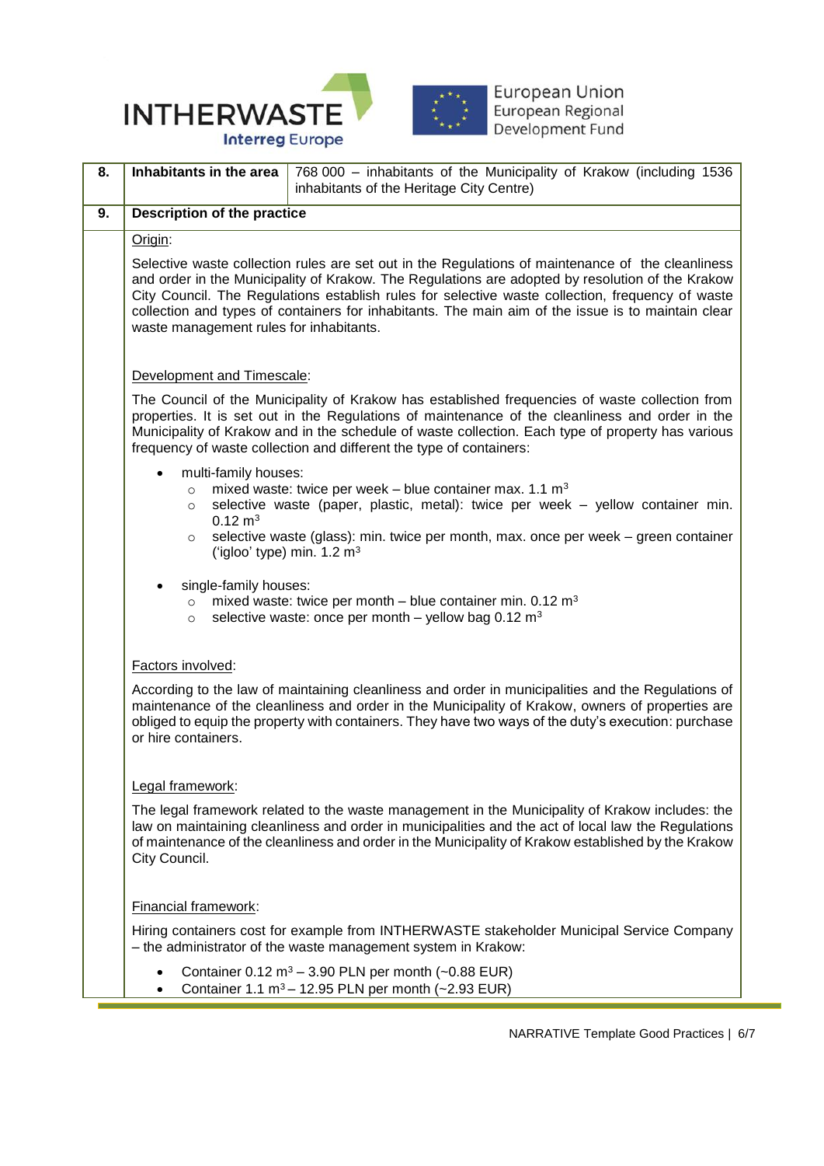



European Union<br>European Regional<br>Development Fund

| 8. | Inhabitants in the area                                                                                                                                                                                                                                                                                                                                                                                                                                    | 768 000 - inhabitants of the Municipality of Krakow (including 1536<br>inhabitants of the Heritage City Centre) |  |
|----|------------------------------------------------------------------------------------------------------------------------------------------------------------------------------------------------------------------------------------------------------------------------------------------------------------------------------------------------------------------------------------------------------------------------------------------------------------|-----------------------------------------------------------------------------------------------------------------|--|
| 9. | <b>Description of the practice</b>                                                                                                                                                                                                                                                                                                                                                                                                                         |                                                                                                                 |  |
|    | Origin:                                                                                                                                                                                                                                                                                                                                                                                                                                                    |                                                                                                                 |  |
|    | Selective waste collection rules are set out in the Regulations of maintenance of the cleanliness<br>and order in the Municipality of Krakow. The Regulations are adopted by resolution of the Krakow<br>City Council. The Regulations establish rules for selective waste collection, frequency of waste<br>collection and types of containers for inhabitants. The main aim of the issue is to maintain clear<br>waste management rules for inhabitants. |                                                                                                                 |  |
|    | Development and Timescale:                                                                                                                                                                                                                                                                                                                                                                                                                                 |                                                                                                                 |  |
|    | The Council of the Municipality of Krakow has established frequencies of waste collection from<br>properties. It is set out in the Regulations of maintenance of the cleanliness and order in the<br>Municipality of Krakow and in the schedule of waste collection. Each type of property has various<br>frequency of waste collection and different the type of containers:                                                                              |                                                                                                                 |  |
|    | multi-family houses:<br>mixed waste: twice per week – blue container max. 1.1 $m3$<br>$\circ$<br>selective waste (paper, plastic, metal): twice per week - yellow container min.<br>$\circ$<br>$0.12 \text{ m}^3$<br>selective waste (glass): min. twice per month, max. once per week - green container<br>$\circ$<br>('igloo' type) min. 1.2 m <sup>3</sup>                                                                                              |                                                                                                                 |  |
|    | single-family houses:<br>mixed waste: twice per month – blue container min. $0.12 \text{ m}^3$<br>$\circ$<br>selective waste: once per month - yellow bag $0.12 \text{ m}^3$<br>$\circ$                                                                                                                                                                                                                                                                    |                                                                                                                 |  |
|    | Factors involved:                                                                                                                                                                                                                                                                                                                                                                                                                                          |                                                                                                                 |  |
|    | According to the law of maintaining cleanliness and order in municipalities and the Regulations of<br>maintenance of the cleanliness and order in the Municipality of Krakow, owners of properties are<br>obliged to equip the property with containers. They have two ways of the duty's execution: purchase<br>or hire containers.                                                                                                                       |                                                                                                                 |  |
|    | Legal framework:                                                                                                                                                                                                                                                                                                                                                                                                                                           |                                                                                                                 |  |
|    | The legal framework related to the waste management in the Municipality of Krakow includes: the<br>law on maintaining cleanliness and order in municipalities and the act of local law the Regulations<br>of maintenance of the cleanliness and order in the Municipality of Krakow established by the Krakow<br>City Council.                                                                                                                             |                                                                                                                 |  |
|    | Financial framework:                                                                                                                                                                                                                                                                                                                                                                                                                                       |                                                                                                                 |  |
|    | Hiring containers cost for example from INTHERWASTE stakeholder Municipal Service Company<br>- the administrator of the waste management system in Krakow:                                                                                                                                                                                                                                                                                                 |                                                                                                                 |  |
|    | Container $0.12 \text{ m}^3 - 3.90 \text{ PLN}$ per month (~0.88 EUR)<br>Container 1.1 m <sup>3</sup> - 12.95 PLN per month (~2.93 EUR)                                                                                                                                                                                                                                                                                                                    |                                                                                                                 |  |